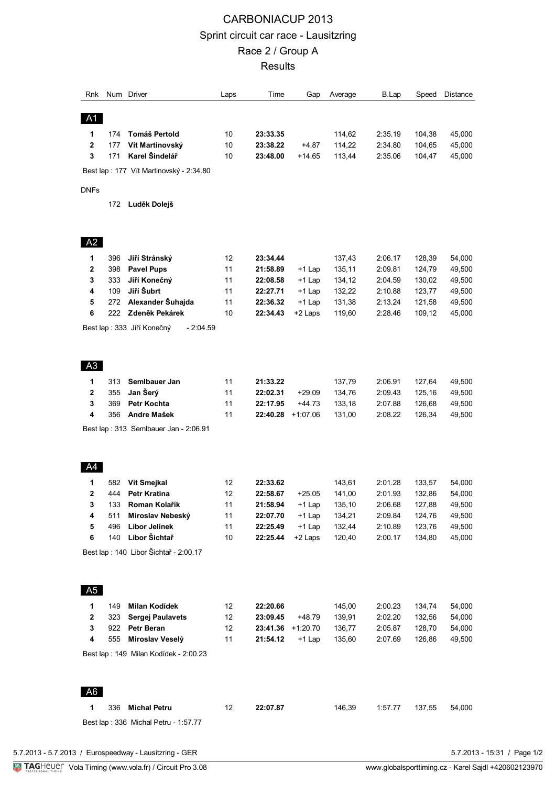## CARBONIACUP 2013 Sprint circuit car race - Lausitzring Race 2 / Group A **Results**

| Rnk            |     | Num Driver                               | Laps | Time     | Gap        | Average | B.Lap   | Speed  | Distance |
|----------------|-----|------------------------------------------|------|----------|------------|---------|---------|--------|----------|
| A1             |     |                                          |      |          |            |         |         |        |          |
| 1              | 174 | Tomáš Pertold                            | 10   | 23:33.35 |            | 114,62  | 2:35.19 | 104,38 | 45,000   |
| 2              | 177 | Vít Martinovský                          | 10   | 23:38.22 | +4.87      | 114,22  | 2:34.80 | 104,65 | 45,000   |
| 3              | 171 | Karel Šindelář                           | 10   | 23:48.00 | +14.65     | 113,44  | 2:35.06 | 104,47 | 45,000   |
|                |     | Best lap: 177 Vít Martinovský - 2:34.80  |      |          |            |         |         |        |          |
| <b>DNFs</b>    |     |                                          |      |          |            |         |         |        |          |
|                | 172 | Luděk Dolejš                             |      |          |            |         |         |        |          |
| A2             |     |                                          |      |          |            |         |         |        |          |
| 1              | 396 | Jiří Stránský                            | 12   | 23:34.44 |            | 137,43  | 2:06.17 | 128,39 | 54,000   |
| 2              | 398 | <b>Pavel Pups</b>                        | 11   | 21:58.89 | $+1$ Lap   | 135,11  | 2:09.81 | 124,79 | 49,500   |
| 3              | 333 | Jiří Konečný                             | 11   | 22:08.58 | +1 Lap     | 134,12  | 2:04.59 | 130,02 | 49,500   |
| 4              | 109 | Jiří Šubrt                               | 11   | 22:27.71 | $+1$ Lap   | 132,22  | 2:10.88 | 123,77 | 49,500   |
| 5              | 272 | Alexander Šuhajda                        | 11   | 22:36.32 | $+1$ Lap   | 131,38  | 2:13.24 | 121,58 | 49,500   |
| 6              | 222 | Zdeněk Pekárek                           | 10   | 22:34.43 | +2 Laps    | 119,60  | 2:28.46 | 109,12 | 45,000   |
|                |     | $-2:04.59$<br>Best lap: 333 Jiří Konečný |      |          |            |         |         |        |          |
| A3             |     |                                          |      |          |            |         |         |        |          |
| 1              | 313 | SemIbauer Jan                            | 11   | 21:33.22 |            | 137,79  | 2:06.91 | 127,64 | 49,500   |
| 2              | 355 | Jan Šerý                                 | 11   | 22:02.31 | $+29.09$   | 134,76  | 2:09.43 | 125,16 | 49,500   |
| 3              | 369 | <b>Petr Kochta</b>                       | 11   | 22:17.95 | +44.73     | 133,18  | 2:07.88 | 126,68 | 49,500   |
| 4              | 356 | Andre Mašek                              | 11   | 22:40.28 | $+1:07.06$ | 131,00  | 2:08.22 | 126,34 | 49,500   |
|                |     | Best lap: 313 Semlbauer Jan - 2:06.91    |      |          |            |         |         |        |          |
| A4             |     |                                          |      |          |            |         |         |        |          |
| 1              | 582 | Vít Smejkal                              | 12   | 22:33.62 |            | 143,61  | 2:01.28 | 133,57 | 54,000   |
| 2              | 444 | Petr Kratina                             | 12   | 22:58.67 | +25.05     | 141,00  | 2:01.93 | 132,86 | 54,000   |
| 3              | 133 | Roman Kolařík                            | 11   | 21:58.94 | +1 Lap     | 135,10  | 2:06.68 | 127,88 | 49,500   |
| 4              | 511 | Miroslav Nebeský                         | 11   | 22:07.70 | $+1$ Lap   | 134,21  | 2:09.84 | 124,76 | 49,500   |
| 5              | 496 | Libor Jelínek                            | 11   | 22:25.49 | $+1$ Lap   | 132,44  | 2:10.89 | 123,76 | 49,500   |
| 6              | 140 | Libor Šichtař                            | 10   | 22:25.44 | +2 Laps    | 120,40  | 2:00.17 | 134,80 | 45,000   |
|                |     | Best lap : 140 Libor Šichtař - 2:00.17   |      |          |            |         |         |        |          |
| A <sub>5</sub> |     |                                          |      |          |            |         |         |        |          |
| 1              | 149 | <b>Milan Kodídek</b>                     | 12   | 22:20.66 |            | 145,00  | 2:00.23 | 134,74 | 54,000   |
| 2              | 323 | <b>Sergej Paulavets</b>                  | 12   | 23:09.45 | +48.79     | 139,91  | 2:02.20 | 132,56 | 54,000   |
| 3              | 922 | Petr Beran                               | 12   | 23:41.36 | $+1:20.70$ | 136,77  | 2:05.87 | 128,70 | 54,000   |
| 4              | 555 | Miroslav Veselý                          | 11   | 21:54.12 | $+1$ Lap   | 135,60  | 2:07.69 | 126,86 | 49,500   |
|                |     | Best lap: 149 Milan Kodídek - 2:00.23    |      |          |            |         |         |        |          |
|                |     |                                          |      |          |            |         |         |        |          |
| A6             |     |                                          |      |          |            |         |         |        |          |
| 1              | 336 | <b>Michal Petru</b>                      | 12   | 22:07.87 |            | 146,39  | 1:57.77 | 137,55 | 54,000   |
|                |     | Best lap: 336 Michal Petru - 1:57.77     |      |          |            |         |         |        |          |
|                |     |                                          |      |          |            |         |         |        |          |